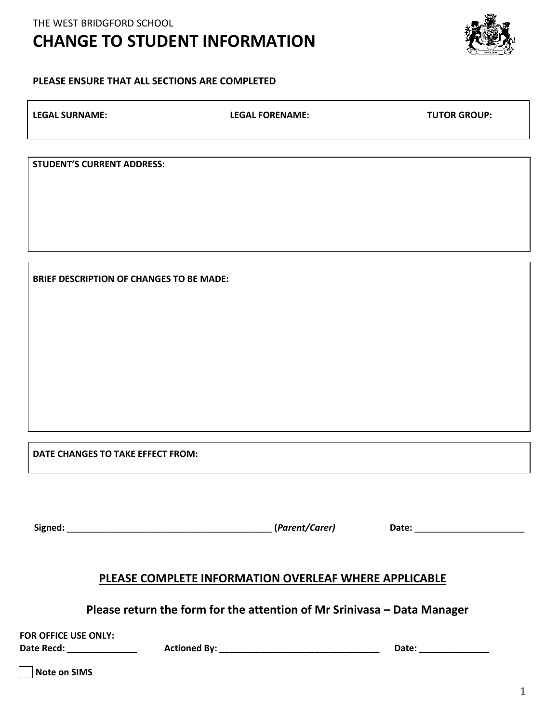## **CHANGE TO STUDENT INFORMATION**

## **PLEASE ENSURE THAT ALL SECTIONS ARE COMPLETED**

| <b>LEGAL SURNAME:</b>             | <b>LEGAL FORENAME:</b> | <b>TUTOR GROUP:</b> |
|-----------------------------------|------------------------|---------------------|
|                                   |                        |                     |
| <b>STUDENT'S CURRENT ADDRESS:</b> |                        |                     |
|                                   |                        |                     |

**BRIEF DESCRIPTION OF CHANGES TO BE MADE:**

**DATE CHANGES TO TAKE EFFECT FROM:** 

 $Signed:$  **Constraints and the constraints of the construction of the constraints of the constraints of the constraints of the constraints of the constraints of the constraints of the constraints of the constraints of the cons** 

## **PLEASE COMPLETE INFORMATION OVERLEAF WHERE APPLICABLE**

**Please return the form for the attention of Mr Srinivasa – Data Manager** 

**FOR OFFICE USE ONLY:**

**Date Recd: \_\_\_\_\_\_\_\_\_\_\_\_\_\_ Actioned By: \_\_\_\_\_\_\_\_\_\_\_\_\_\_\_\_\_\_\_\_\_\_\_\_\_\_\_\_\_\_\_\_ Date: \_\_\_\_\_\_\_\_\_\_\_\_\_\_**

 **Note on SIMS**